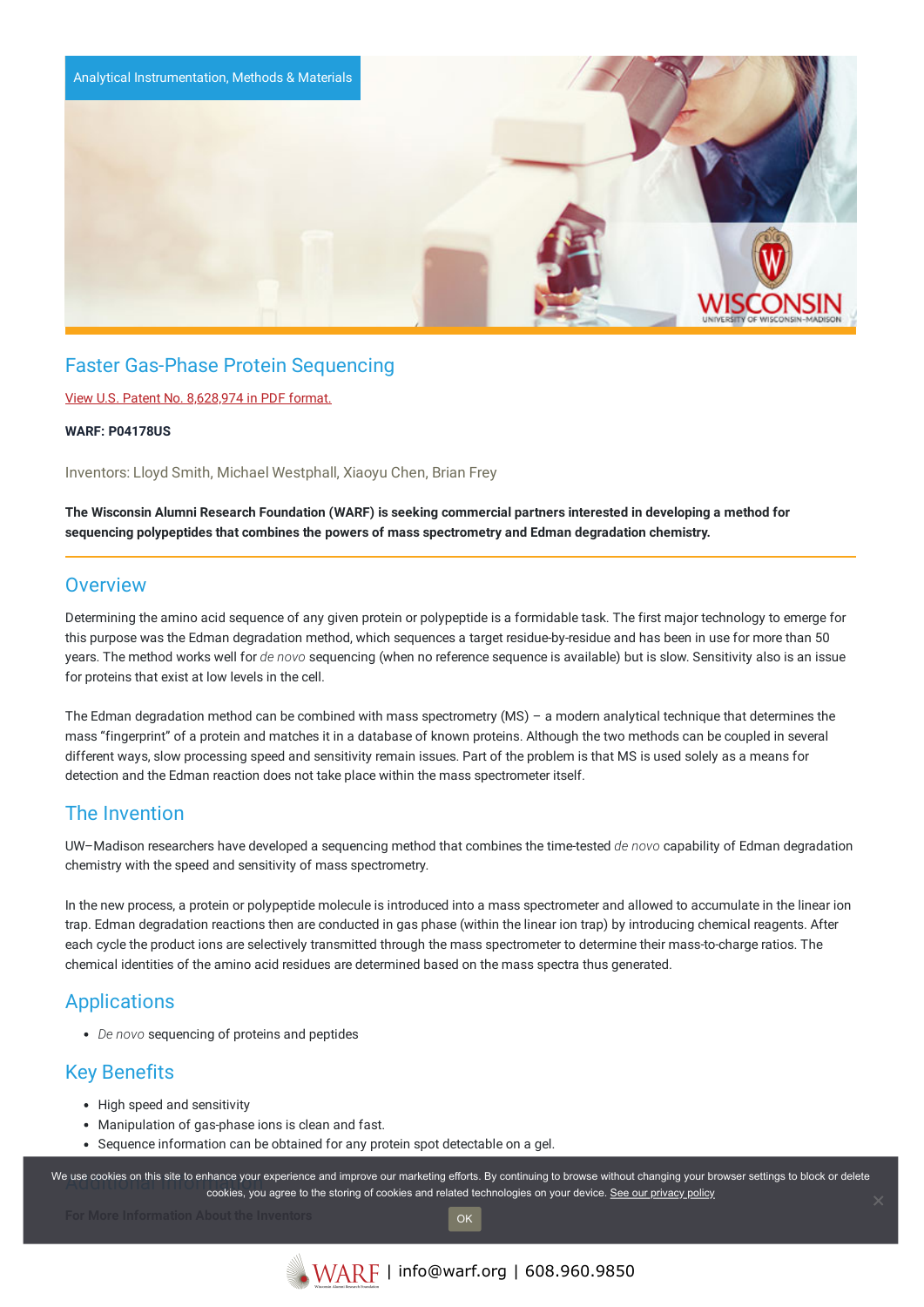

# Faster Gas-Phase Protein Sequencing

### View U.S. Patent No. [8,628,974](https://www.warf.org/wp-content/uploads/technologies/ipstatus/P04178US.PDF) in PDF format.

#### **WARF: P04178US**

Inventors: Lloyd Smith, Michael Westphall, Xiaoyu Chen, Brian Frey

The Wisconsin Alumni Research Foundation (WARF) is seeking commercial partners interested in developing a method for **sequencing polypeptides that combines the powers of mass spectrometry and Edman degradation chemistry.**

### **Overview**

Determining the amino acid sequence of any given protein or polypeptide is a formidable task. The first major technology to emerge for this purpose was the Edman degradation method, which sequences a target residue-by-residue and has been in use for more than 50 years. The method works well for *de novo* sequencing (when no reference sequence is available) but is slow. Sensitivity also is an issue for proteins that exist at low levels in the cell.

The Edman degradation method can be combined with mass spectrometry (MS) – a modern analytical technique that determines the mass "fingerprint" of a protein and matches it in a database of known proteins. Although the two methods can be coupled in several different ways, slow processing speed and sensitivity remain issues. Part of the problem is that MS is used solely as a means for detection and the Edman reaction does not take place within the mass spectrometer itself.

### The Invention

UW–Madison researchers have developed a sequencing method that combines the time-tested *de novo* capability of Edman degradation chemistry with the speed and sensitivity of mass spectrometry.

In the new process, a protein or polypeptide molecule is introduced into a mass spectrometer and allowed to accumulate in the linear ion trap. Edman degradation reactions then are conducted in gas phase (within the linear ion trap) by introducing chemical reagents. After each cycle the product ions are selectively transmitted through the mass spectrometer to determine their mass-to-charge ratios. The chemical identities of the amino acid residues are determined based on the mass spectra thus generated.

## **Applications**

*De novo* sequencing of proteins and peptides

## Key Benefits

- High speed and sensitivity
- Manipulation of gas-phase ions is clean and fast.
- Sequence information can be obtained for any protein spot detectable on a gel.

We use cookies on this site to enhance your experience and improve our marketing efforts. By continuing to browse without changing your browser settings to block or delete continuing to browser settings to block or delete cookies, you agree to the storing of cookies and related technologies on your device. [See our privacy policy](https://www.warf.org/privacy-policy/)

OK